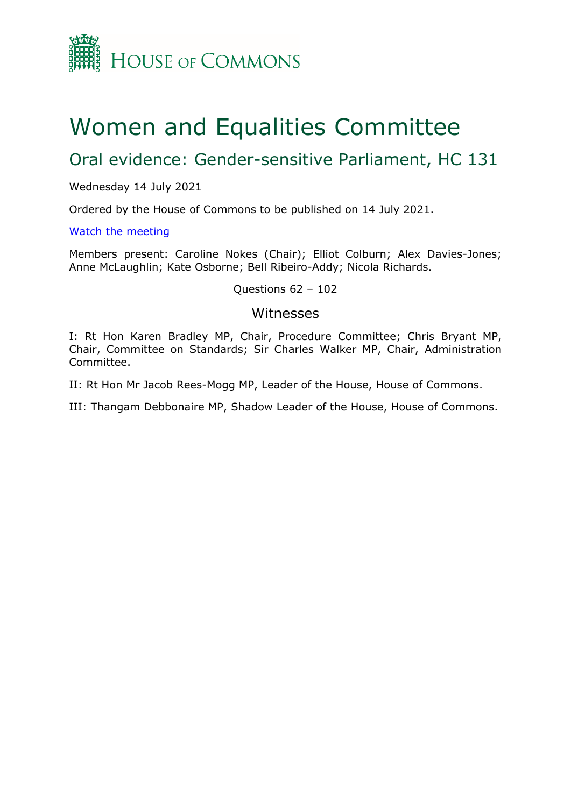

# Women and Equalities Committee

# Oral evidence: Gender-sensitive Parliament, HC 131

#### Wednesday 14 July 2021

Ordered by the House of Commons to be published on 14 July 2021.

#### [Watch](https://www.parliamentlive.tv/Event/Index/df13acdf-b0c9-4a06-884f-5be98baa953c) [the](https://www.parliamentlive.tv/Event/Index/df13acdf-b0c9-4a06-884f-5be98baa953c) [meeting](https://www.parliamentlive.tv/Event/Index/df13acdf-b0c9-4a06-884f-5be98baa953c)

Members present: Caroline Nokes (Chair); Elliot Colburn; Alex Davies-Jones; Anne McLaughlin; Kate Osborne; Bell Ribeiro-Addy; Nicola Richards.

#### Questions 62 – 102

### Witnesses

I: Rt Hon Karen Bradley MP, Chair, Procedure Committee; Chris Bryant MP, Chair, Committee on Standards; Sir Charles Walker MP, Chair, Administration Committee.

II: Rt Hon Mr Jacob Rees-Mogg MP, Leader of the House, House of Commons.

III: Thangam Debbonaire MP, Shadow Leader of the House, House of Commons.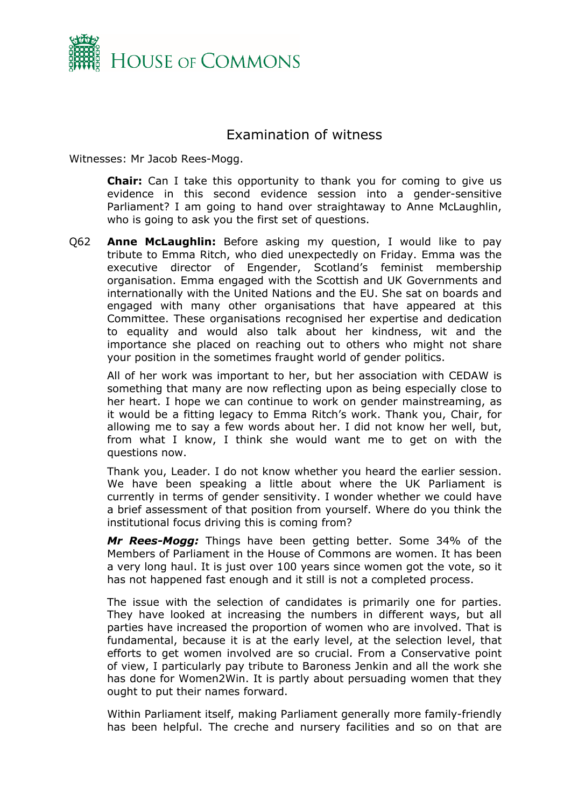

## Examination of witness

Witnesses: Mr Jacob Rees-Mogg.

**Chair:** Can I take this opportunity to thank you for coming to give us evidence in this second evidence session into a gender-sensitive Parliament? I am going to hand over straightaway to Anne McLaughlin, who is going to ask you the first set of questions.

Q62 **Anne McLaughlin:** Before asking my question, I would like to pay tribute to Emma Ritch, who died unexpectedly on Friday. Emma was the executive director of Engender, Scotland's feminist membership organisation. Emma engaged with the Scottish and UK Governments and internationally with the United Nations and the EU. She sat on boards and engaged with many other organisations that have appeared at this Committee. These organisations recognised her expertise and dedication to equality and would also talk about her kindness, wit and the importance she placed on reaching out to others who might not share your position in the sometimes fraught world of gender politics.

All of her work was important to her, but her association with CEDAW is something that many are now reflecting upon as being especially close to her heart. I hope we can continue to work on gender mainstreaming, as it would be a fitting legacy to Emma Ritch's work. Thank you, Chair, for allowing me to say a few words about her. I did not know her well, but, from what I know, I think she would want me to get on with the questions now.

Thank you, Leader. I do not know whether you heard the earlier session. We have been speaking a little about where the UK Parliament is currently in terms of gender sensitivity. I wonder whether we could have a brief assessment of that position from yourself. Where do you think the institutional focus driving this is coming from?

*Mr Rees-Mogg:* Things have been getting better. Some 34% of the Members of Parliament in the House of Commons are women. It has been a very long haul. It is just over 100 years since women got the vote, so it has not happened fast enough and it still is not a completed process.

The issue with the selection of candidates is primarily one for parties. They have looked at increasing the numbers in different ways, but all parties have increased the proportion of women who are involved. That is fundamental, because it is at the early level, at the selection level, that efforts to get women involved are so crucial. From a Conservative point of view, I particularly pay tribute to Baroness Jenkin and all the work she has done for Women2Win. It is partly about persuading women that they ought to put their names forward.

Within Parliament itself, making Parliament generally more family-friendly has been helpful. The creche and nursery facilities and so on that are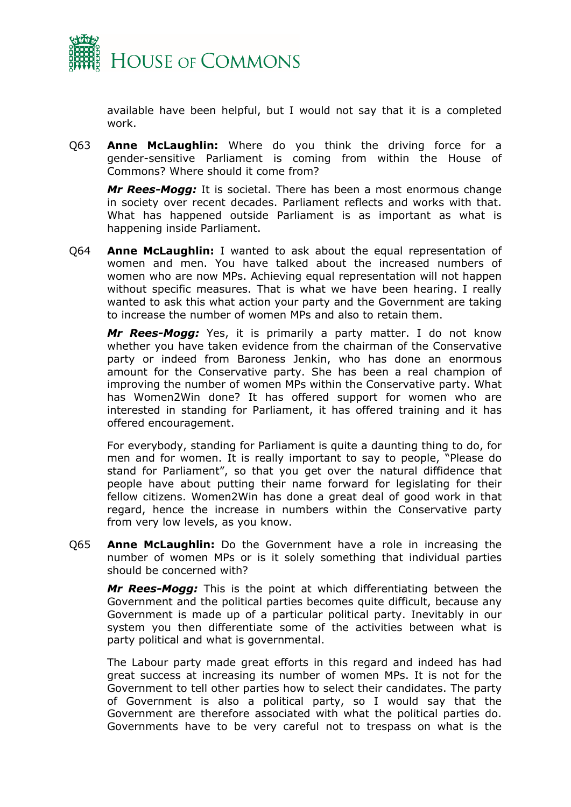

available have been helpful, but I would not say that it is a completed work.

Q63 **Anne McLaughlin:** Where do you think the driving force for a gender-sensitive Parliament is coming from within the House of Commons? Where should it come from?

*Mr Rees-Mogg:* It is societal. There has been a most enormous change in society over recent decades. Parliament reflects and works with that. What has happened outside Parliament is as important as what is happening inside Parliament.

Q64 **Anne McLaughlin:** I wanted to ask about the equal representation of women and men. You have talked about the increased numbers of women who are now MPs. Achieving equal representation will not happen without specific measures. That is what we have been hearing. I really wanted to ask this what action your party and the Government are taking to increase the number of women MPs and also to retain them.

*Mr Rees-Mogg:* Yes, it is primarily a party matter. I do not know whether you have taken evidence from the chairman of the Conservative party or indeed from Baroness Jenkin, who has done an enormous amount for the Conservative party. She has been a real champion of improving the number of women MPs within the Conservative party. What has Women2Win done? It has offered support for women who are interested in standing for Parliament, it has offered training and it has offered encouragement.

For everybody, standing for Parliament is quite a daunting thing to do, for men and for women. It is really important to say to people, "Please do stand for Parliament", so that you get over the natural diffidence that people have about putting their name forward for legislating for their fellow citizens. Women2Win has done a great deal of good work in that regard, hence the increase in numbers within the Conservative party from very low levels, as you know.

Q65 **Anne McLaughlin:** Do the Government have a role in increasing the number of women MPs or is it solely something that individual parties should be concerned with?

*Mr Rees-Mogg:* This is the point at which differentiating between the Government and the political parties becomes quite difficult, because any Government is made up of a particular political party. Inevitably in our system you then differentiate some of the activities between what is party political and what is governmental.

The Labour party made great efforts in this regard and indeed has had great success at increasing its number of women MPs. It is not for the Government to tell other parties how to select their candidates. The party of Government is also a political party, so I would say that the Government are therefore associated with what the political parties do. Governments have to be very careful not to trespass on what is the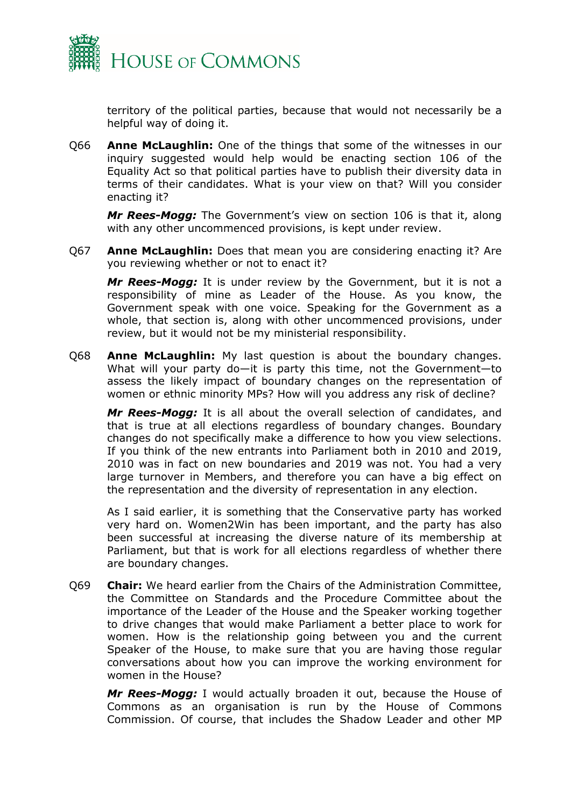

territory of the political parties, because that would not necessarily be a helpful way of doing it.

Q66 **Anne McLaughlin:** One of the things that some of the witnesses in our inquiry suggested would help would be enacting section 106 of the Equality Act so that political parties have to publish their diversity data in terms of their candidates. What is your view on that? Will you consider enacting it?

*Mr Rees-Mogg:* The Government's view on section 106 is that it, along with any other uncommenced provisions, is kept under review.

Q67 **Anne McLaughlin:** Does that mean you are considering enacting it? Are you reviewing whether or not to enact it?

*Mr Rees-Mogg:* It is under review by the Government, but it is not a responsibility of mine as Leader of the House. As you know, the Government speak with one voice. Speaking for the Government as a whole, that section is, along with other uncommenced provisions, under review, but it would not be my ministerial responsibility.

Q68 **Anne McLaughlin:** My last question is about the boundary changes. What will your party do—it is party this time, not the Government—to assess the likely impact of boundary changes on the representation of women or ethnic minority MPs? How will you address any risk of decline?

*Mr Rees-Mogg:* It is all about the overall selection of candidates, and that is true at all elections regardless of boundary changes. Boundary changes do not specifically make a difference to how you view selections. If you think of the new entrants into Parliament both in 2010 and 2019, 2010 was in fact on new boundaries and 2019 was not. You had a very large turnover in Members, and therefore you can have a big effect on the representation and the diversity of representation in any election.

As I said earlier, it is something that the Conservative party has worked very hard on. Women2Win has been important, and the party has also been successful at increasing the diverse nature of its membership at Parliament, but that is work for all elections regardless of whether there are boundary changes.

Q69 **Chair:** We heard earlier from the Chairs of the Administration Committee, the Committee on Standards and the Procedure Committee about the importance of the Leader of the House and the Speaker working together to drive changes that would make Parliament a better place to work for women. How is the relationship going between you and the current Speaker of the House, to make sure that you are having those regular conversations about how you can improve the working environment for women in the House?

*Mr Rees-Mogg:* I would actually broaden it out, because the House of Commons as an organisation is run by the House of Commons Commission. Of course, that includes the Shadow Leader and other MP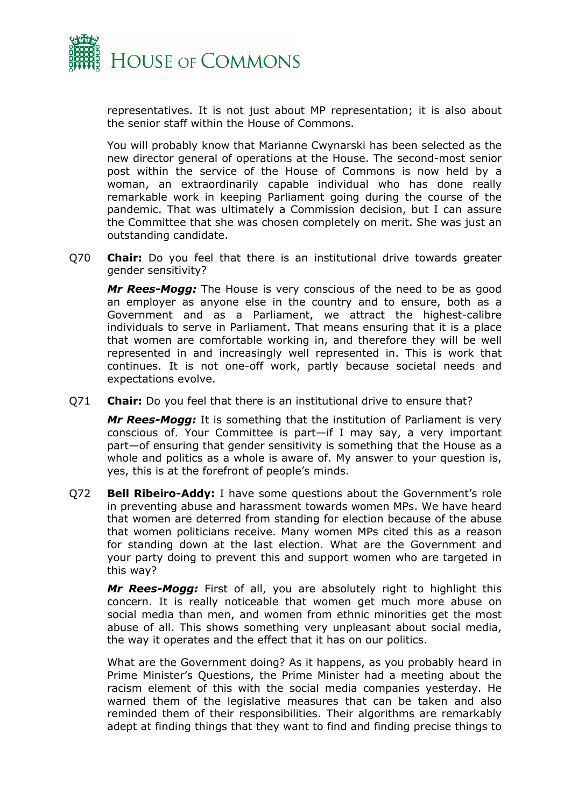

representatives. It is not just about MP representation; it is also about the senior staff within the House of Commons.

You will probably know that Marianne Cwynarski has been selected as the new director general of operations at the House. The second-most senior post within the service of the House of Commons is now held by a woman, an extraordinarily capable individual who has done really remarkable work in keeping Parliament going during the course of the pandemic. That was ultimately a Commission decision, but I can assure the Committee that she was chosen completely on merit. She was just an outstanding candidate.

Q70 **Chair:** Do you feel that there is an institutional drive towards greater gender sensitivity?

*Mr Rees-Mogg:* The House is very conscious of the need to be as good an employer as anyone else in the country and to ensure, both as a Government and as a Parliament, we attract the highest-calibre individuals to serve in Parliament. That means ensuring that it is a place that women are comfortable working in, and therefore they will be well represented in and increasingly well represented in. This is work that continues. It is not one-off work, partly because societal needs and expectations evolve.

Q71 **Chair:** Do you feel that there is an institutional drive to ensure that?

*Mr Rees-Mogg:* It is something that the institution of Parliament is very conscious of. Your Committee is part—if I may say, a very important part—of ensuring that gender sensitivity is something that the House as a whole and politics as a whole is aware of. My answer to your question is, yes, this is at the forefront of people's minds.

Q72 **Bell Ribeiro-Addy:** I have some questions about the Government's role in preventing abuse and harassment towards women MPs. We have heard that women are deterred from standing for election because of the abuse that women politicians receive. Many women MPs cited this as a reason for standing down at the last election. What are the Government and your party doing to prevent this and support women who are targeted in this way?

*Mr Rees-Mogg:* First of all, you are absolutely right to highlight this concern. It is really noticeable that women get much more abuse on social media than men, and women from ethnic minorities get the most abuse of all. This shows something very unpleasant about social media, the way it operates and the effect that it has on our politics.

What are the Government doing? As it happens, as you probably heard in Prime Minister's Questions, the Prime Minister had a meeting about the racism element of this with the social media companies yesterday. He warned them of the legislative measures that can be taken and also reminded them of their responsibilities. Their algorithms are remarkably adept at finding things that they want to find and finding precise things to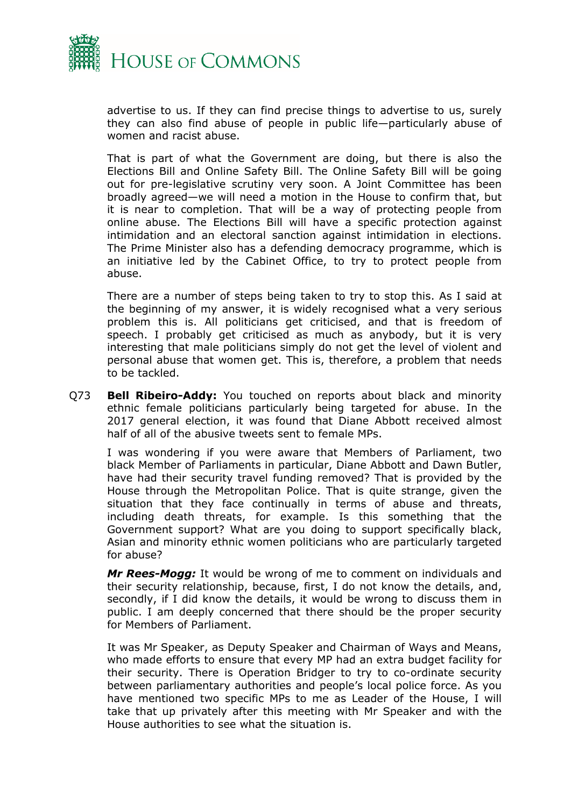

advertise to us. If they can find precise things to advertise to us, surely they can also find abuse of people in public life—particularly abuse of women and racist abuse.

That is part of what the Government are doing, but there is also the Elections Bill and Online Safety Bill. The Online Safety Bill will be going out for pre-legislative scrutiny very soon. A Joint Committee has been broadly agreed—we will need a motion in the House to confirm that, but it is near to completion. That will be a way of protecting people from online abuse. The Elections Bill will have a specific protection against intimidation and an electoral sanction against intimidation in elections. The Prime Minister also has a defending democracy programme, which is an initiative led by the Cabinet Office, to try to protect people from abuse.

There are a number of steps being taken to try to stop this. As I said at the beginning of my answer, it is widely recognised what a very serious problem this is. All politicians get criticised, and that is freedom of speech. I probably get criticised as much as anybody, but it is very interesting that male politicians simply do not get the level of violent and personal abuse that women get. This is, therefore, a problem that needs to be tackled.

Q73 **Bell Ribeiro-Addy:** You touched on reports about black and minority ethnic female politicians particularly being targeted for abuse. In the 2017 general election, it was found that Diane Abbott received almost half of all of the abusive tweets sent to female MPs.

I was wondering if you were aware that Members of Parliament, two black Member of Parliaments in particular, Diane Abbott and Dawn Butler, have had their security travel funding removed? That is provided by the House through the Metropolitan Police. That is quite strange, given the situation that they face continually in terms of abuse and threats, including death threats, for example. Is this something that the Government support? What are you doing to support specifically black, Asian and minority ethnic women politicians who are particularly targeted for abuse?

*Mr Rees-Mogg:* It would be wrong of me to comment on individuals and their security relationship, because, first, I do not know the details, and, secondly, if I did know the details, it would be wrong to discuss them in public. I am deeply concerned that there should be the proper security for Members of Parliament.

It was Mr Speaker, as Deputy Speaker and Chairman of Ways and Means, who made efforts to ensure that every MP had an extra budget facility for their security. There is Operation Bridger to try to co-ordinate security between parliamentary authorities and people's local police force. As you have mentioned two specific MPs to me as Leader of the House, I will take that up privately after this meeting with Mr Speaker and with the House authorities to see what the situation is.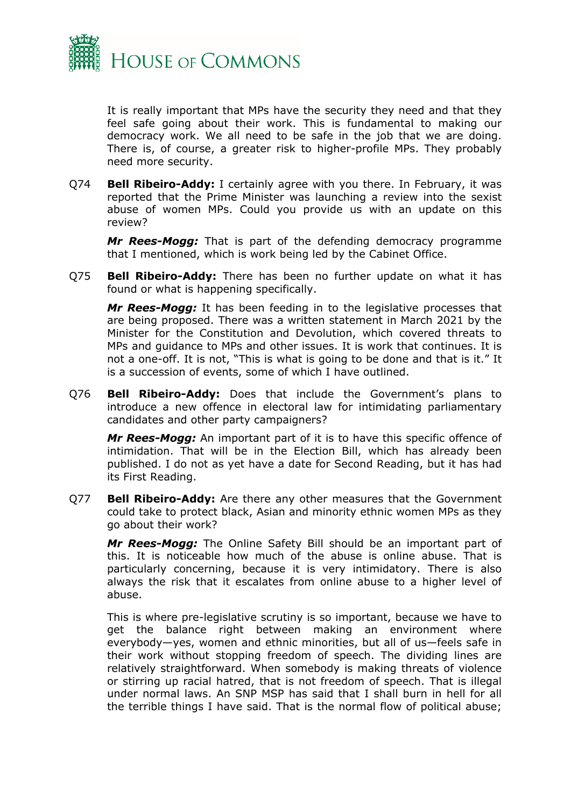

It is really important that MPs have the security they need and that they feel safe going about their work. This is fundamental to making our democracy work. We all need to be safe in the job that we are doing. There is, of course, a greater risk to higher-profile MPs. They probably need more security.

Q74 **Bell Ribeiro-Addy:** I certainly agree with you there. In February, it was reported that the Prime Minister was launching a review into the sexist abuse of women MPs. Could you provide us with an update on this review?

*Mr Rees-Mogg:* That is part of the defending democracy programme that I mentioned, which is work being led by the Cabinet Office.

Q75 **Bell Ribeiro-Addy:** There has been no further update on what it has found or what is happening specifically.

*Mr Rees-Mogg:* It has been feeding in to the legislative processes that are being proposed. There was a written statement in March 2021 by the Minister for the Constitution and Devolution, which covered threats to MPs and guidance to MPs and other issues. It is work that continues. It is not a one-off. It is not, "This is what is going to be done and that is it." It is a succession of events, some of which I have outlined.

Q76 **Bell Ribeiro-Addy:** Does that include the Government's plans to introduce a new offence in electoral law for intimidating parliamentary candidates and other party campaigners?

*Mr Rees-Mogg:* An important part of it is to have this specific offence of intimidation. That will be in the Election Bill, which has already been published. I do not as yet have a date for Second Reading, but it has had its First Reading.

Q77 **Bell Ribeiro-Addy:** Are there any other measures that the Government could take to protect black, Asian and minority ethnic women MPs as they go about their work?

*Mr Rees-Mogg:* The Online Safety Bill should be an important part of this. It is noticeable how much of the abuse is online abuse. That is particularly concerning, because it is very intimidatory. There is also always the risk that it escalates from online abuse to a higher level of abuse.

This is where pre-legislative scrutiny is so important, because we have to get the balance right between making an environment where everybody—yes, women and ethnic minorities, but all of us—feels safe in their work without stopping freedom of speech. The dividing lines are relatively straightforward. When somebody is making threats of violence or stirring up racial hatred, that is not freedom of speech. That is illegal under normal laws. An SNP MSP has said that I shall burn in hell for all the terrible things I have said. That is the normal flow of political abuse;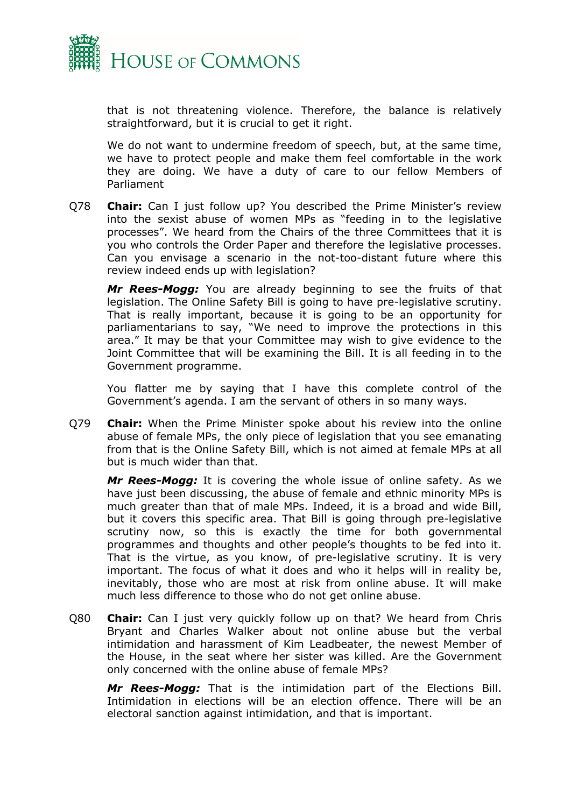

that is not threatening violence. Therefore, the balance is relatively straightforward, but it is crucial to get it right.

We do not want to undermine freedom of speech, but, at the same time, we have to protect people and make them feel comfortable in the work they are doing. We have a duty of care to our fellow Members of Parliament

Q78 **Chair:** Can I just follow up? You described the Prime Minister's review into the sexist abuse of women MPs as "feeding in to the legislative processes". We heard from the Chairs of the three Committees that it is you who controls the Order Paper and therefore the legislative processes. Can you envisage a scenario in the not-too-distant future where this review indeed ends up with legislation?

*Mr Rees-Mogg:* You are already beginning to see the fruits of that legislation. The Online Safety Bill is going to have pre-legislative scrutiny. That is really important, because it is going to be an opportunity for parliamentarians to say, "We need to improve the protections in this area." It may be that your Committee may wish to give evidence to the Joint Committee that will be examining the Bill. It is all feeding in to the Government programme.

You flatter me by saying that I have this complete control of the Government's agenda. I am the servant of others in so many ways.

Q79 **Chair:** When the Prime Minister spoke about his review into the online abuse of female MPs, the only piece of legislation that you see emanating from that is the Online Safety Bill, which is not aimed at female MPs at all but is much wider than that.

*Mr Rees-Mogg:* It is covering the whole issue of online safety. As we have just been discussing, the abuse of female and ethnic minority MPs is much greater than that of male MPs. Indeed, it is a broad and wide Bill, but it covers this specific area. That Bill is going through pre-legislative scrutiny now, so this is exactly the time for both governmental programmes and thoughts and other people's thoughts to be fed into it. That is the virtue, as you know, of pre-legislative scrutiny. It is very important. The focus of what it does and who it helps will in reality be, inevitably, those who are most at risk from online abuse. It will make much less difference to those who do not get online abuse.

Q80 **Chair:** Can I just very quickly follow up on that? We heard from Chris Bryant and Charles Walker about not online abuse but the verbal intimidation and harassment of Kim Leadbeater, the newest Member of the House, in the seat where her sister was killed. Are the Government only concerned with the online abuse of female MPs?

*Mr Rees-Mogg:* That is the intimidation part of the Elections Bill. Intimidation in elections will be an election offence. There will be an electoral sanction against intimidation, and that is important.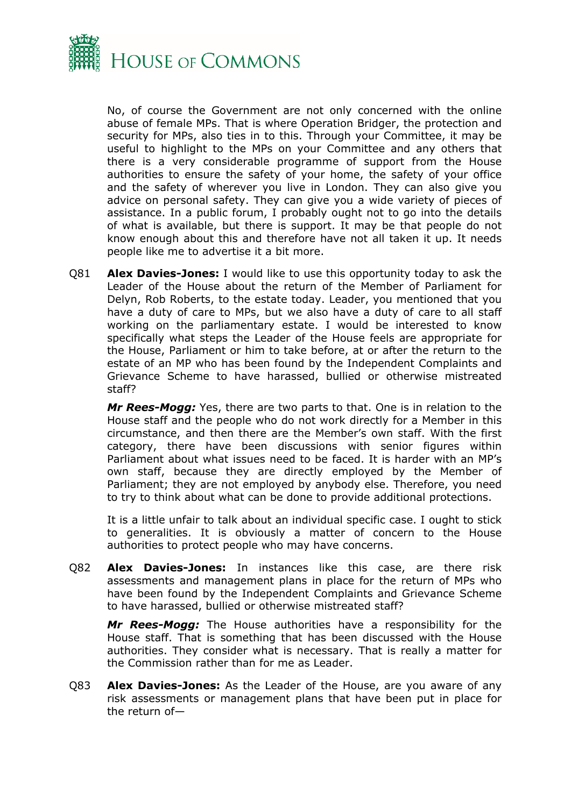

No, of course the Government are not only concerned with the online abuse of female MPs. That is where Operation Bridger, the protection and security for MPs, also ties in to this. Through your Committee, it may be useful to highlight to the MPs on your Committee and any others that there is a very considerable programme of support from the House authorities to ensure the safety of your home, the safety of your office and the safety of wherever you live in London. They can also give you advice on personal safety. They can give you a wide variety of pieces of assistance. In a public forum, I probably ought not to go into the details of what is available, but there is support. It may be that people do not know enough about this and therefore have not all taken it up. It needs people like me to advertise it a bit more.

Q81 **Alex Davies-Jones:** I would like to use this opportunity today to ask the Leader of the House about the return of the Member of Parliament for Delyn, Rob Roberts, to the estate today. Leader, you mentioned that you have a duty of care to MPs, but we also have a duty of care to all staff working on the parliamentary estate. I would be interested to know specifically what steps the Leader of the House feels are appropriate for the House, Parliament or him to take before, at or after the return to the estate of an MP who has been found by the Independent Complaints and Grievance Scheme to have harassed, bullied or otherwise mistreated staff?

*Mr Rees-Mogg:* Yes, there are two parts to that. One is in relation to the House staff and the people who do not work directly for a Member in this circumstance, and then there are the Member's own staff. With the first category, there have been discussions with senior figures within Parliament about what issues need to be faced. It is harder with an MP's own staff, because they are directly employed by the Member of Parliament; they are not employed by anybody else. Therefore, you need to try to think about what can be done to provide additional protections.

It is a little unfair to talk about an individual specific case. I ought to stick to generalities. It is obviously a matter of concern to the House authorities to protect people who may have concerns.

Q82 **Alex Davies-Jones:** In instances like this case, are there risk assessments and management plans in place for the return of MPs who have been found by the Independent Complaints and Grievance Scheme to have harassed, bullied or otherwise mistreated staff?

*Mr Rees-Mogg:* The House authorities have a responsibility for the House staff. That is something that has been discussed with the House authorities. They consider what is necessary. That is really a matter for the Commission rather than for me as Leader.

Q83 **Alex Davies-Jones:** As the Leader of the House, are you aware of any risk assessments or management plans that have been put in place for the return of—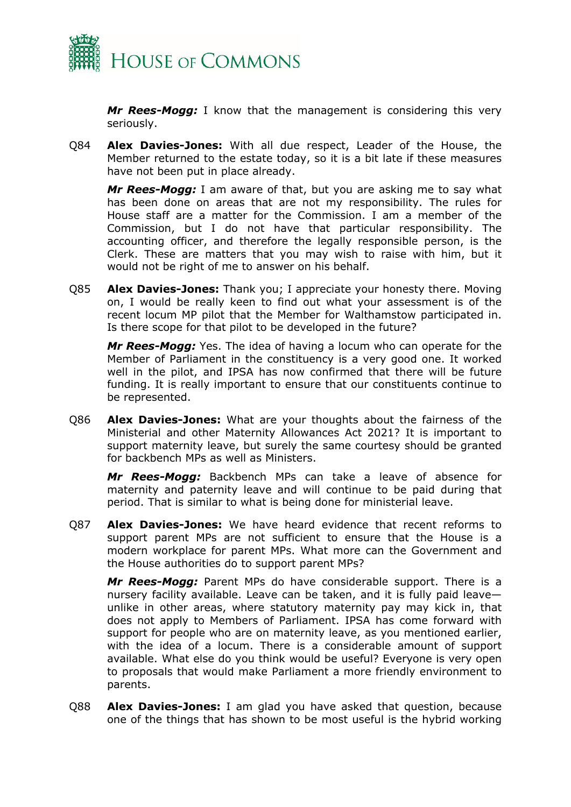

*Mr Rees-Mogg:* I know that the management is considering this very seriously.

Q84 **Alex Davies-Jones:** With all due respect, Leader of the House, the Member returned to the estate today, so it is a bit late if these measures have not been put in place already.

*Mr Rees-Mogg:* I am aware of that, but you are asking me to say what has been done on areas that are not my responsibility. The rules for House staff are a matter for the Commission. I am a member of the Commission, but I do not have that particular responsibility. The accounting officer, and therefore the legally responsible person, is the Clerk. These are matters that you may wish to raise with him, but it would not be right of me to answer on his behalf.

Q85 **Alex Davies-Jones:** Thank you; I appreciate your honesty there. Moving on, I would be really keen to find out what your assessment is of the recent locum MP pilot that the Member for Walthamstow participated in. Is there scope for that pilot to be developed in the future?

*Mr Rees-Mogg:* Yes. The idea of having a locum who can operate for the Member of Parliament in the constituency is a very good one. It worked well in the pilot, and IPSA has now confirmed that there will be future funding. It is really important to ensure that our constituents continue to be represented.

Q86 **Alex Davies-Jones:** What are your thoughts about the fairness of the Ministerial and other Maternity Allowances Act 2021? It is important to support maternity leave, but surely the same courtesy should be granted for backbench MPs as well as Ministers.

*Mr Rees-Mogg:* Backbench MPs can take a leave of absence for maternity and paternity leave and will continue to be paid during that period. That is similar to what is being done for ministerial leave.

Q87 **Alex Davies-Jones:** We have heard evidence that recent reforms to support parent MPs are not sufficient to ensure that the House is a modern workplace for parent MPs. What more can the Government and the House authorities do to support parent MPs?

*Mr Rees-Mogg:* Parent MPs do have considerable support. There is a nursery facility available. Leave can be taken, and it is fully paid leave unlike in other areas, where statutory maternity pay may kick in, that does not apply to Members of Parliament. IPSA has come forward with support for people who are on maternity leave, as you mentioned earlier, with the idea of a locum. There is a considerable amount of support available. What else do you think would be useful? Everyone is very open to proposals that would make Parliament a more friendly environment to parents.

Q88 **Alex Davies-Jones:** I am glad you have asked that question, because one of the things that has shown to be most useful is the hybrid working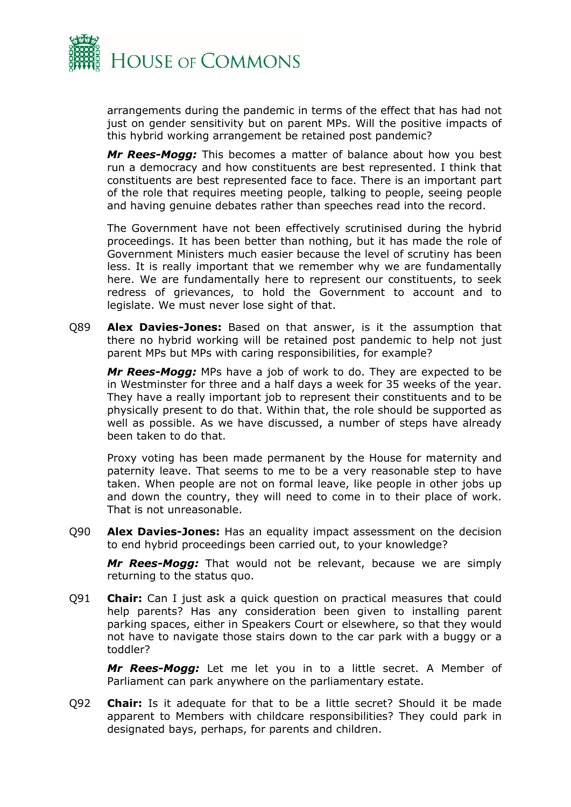

arrangements during the pandemic in terms of the effect that has had not just on gender sensitivity but on parent MPs. Will the positive impacts of this hybrid working arrangement be retained post pandemic?

*Mr Rees-Mogg:* This becomes a matter of balance about how you best run a democracy and how constituents are best represented. I think that constituents are best represented face to face. There is an important part of the role that requires meeting people, talking to people, seeing people and having genuine debates rather than speeches read into the record.

The Government have not been effectively scrutinised during the hybrid proceedings. It has been better than nothing, but it has made the role of Government Ministers much easier because the level of scrutiny has been less. It is really important that we remember why we are fundamentally here. We are fundamentally here to represent our constituents, to seek redress of grievances, to hold the Government to account and to legislate. We must never lose sight of that.

Q89 **Alex Davies-Jones:** Based on that answer, is it the assumption that there no hybrid working will be retained post pandemic to help not just parent MPs but MPs with caring responsibilities, for example?

*Mr Rees-Mogg:* MPs have a job of work to do. They are expected to be in Westminster for three and a half days a week for 35 weeks of the year. They have a really important job to represent their constituents and to be physically present to do that. Within that, the role should be supported as well as possible. As we have discussed, a number of steps have already been taken to do that.

Proxy voting has been made permanent by the House for maternity and paternity leave. That seems to me to be a very reasonable step to have taken. When people are not on formal leave, like people in other jobs up and down the country, they will need to come in to their place of work. That is not unreasonable.

Q90 **Alex Davies-Jones:** Has an equality impact assessment on the decision to end hybrid proceedings been carried out, to your knowledge?

*Mr Rees-Mogg:* That would not be relevant, because we are simply returning to the status quo.

Q91 **Chair:** Can I just ask a quick question on practical measures that could help parents? Has any consideration been given to installing parent parking spaces, either in Speakers Court or elsewhere, so that they would not have to navigate those stairs down to the car park with a buggy or a toddler?

*Mr Rees-Mogg:* Let me let you in to a little secret. A Member of Parliament can park anywhere on the parliamentary estate.

Q92 **Chair:** Is it adequate for that to be a little secret? Should it be made apparent to Members with childcare responsibilities? They could park in designated bays, perhaps, for parents and children.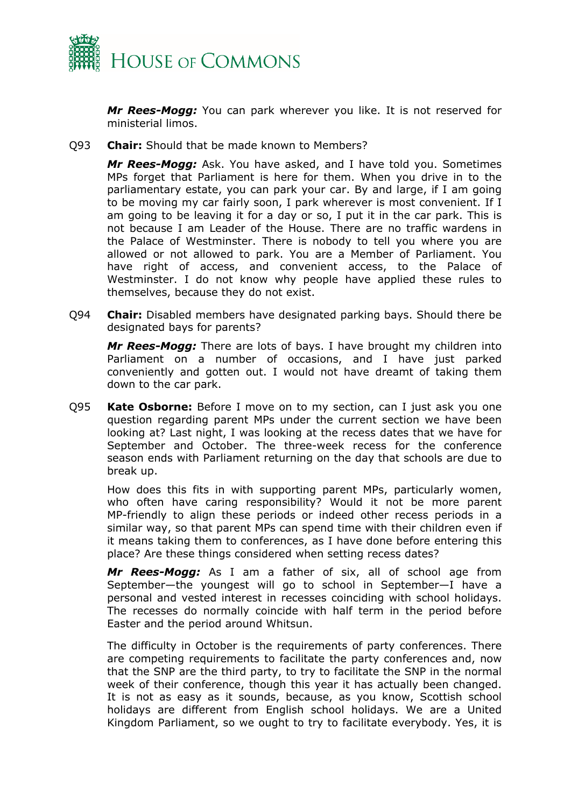

*Mr Rees-Mogg:* You can park wherever you like. It is not reserved for ministerial limos.

Q93 **Chair:** Should that be made known to Members?

*Mr Rees-Mogg:* Ask. You have asked, and I have told you. Sometimes MPs forget that Parliament is here for them. When you drive in to the parliamentary estate, you can park your car. By and large, if I am going to be moving my car fairly soon, I park wherever is most convenient. If I am going to be leaving it for a day or so, I put it in the car park. This is not because I am Leader of the House. There are no traffic wardens in the Palace of Westminster. There is nobody to tell you where you are allowed or not allowed to park. You are a Member of Parliament. You have right of access, and convenient access, to the Palace of Westminster. I do not know why people have applied these rules to themselves, because they do not exist.

Q94 **Chair:** Disabled members have designated parking bays. Should there be designated bays for parents?

*Mr Rees-Mogg:* There are lots of bays. I have brought my children into Parliament on a number of occasions, and I have just parked conveniently and gotten out. I would not have dreamt of taking them down to the car park.

Q95 **Kate Osborne:** Before I move on to my section, can I just ask you one question regarding parent MPs under the current section we have been looking at? Last night, I was looking at the recess dates that we have for September and October. The three-week recess for the conference season ends with Parliament returning on the day that schools are due to break up.

How does this fits in with supporting parent MPs, particularly women, who often have caring responsibility? Would it not be more parent MP-friendly to align these periods or indeed other recess periods in a similar way, so that parent MPs can spend time with their children even if it means taking them to conferences, as I have done before entering this place? Are these things considered when setting recess dates?

*Mr Rees-Mogg:* As I am a father of six, all of school age from September—the youngest will go to school in September—I have a personal and vested interest in recesses coinciding with school holidays. The recesses do normally coincide with half term in the period before Easter and the period around Whitsun.

The difficulty in October is the requirements of party conferences. There are competing requirements to facilitate the party conferences and, now that the SNP are the third party, to try to facilitate the SNP in the normal week of their conference, though this year it has actually been changed. It is not as easy as it sounds, because, as you know, Scottish school holidays are different from English school holidays. We are a United Kingdom Parliament, so we ought to try to facilitate everybody. Yes, it is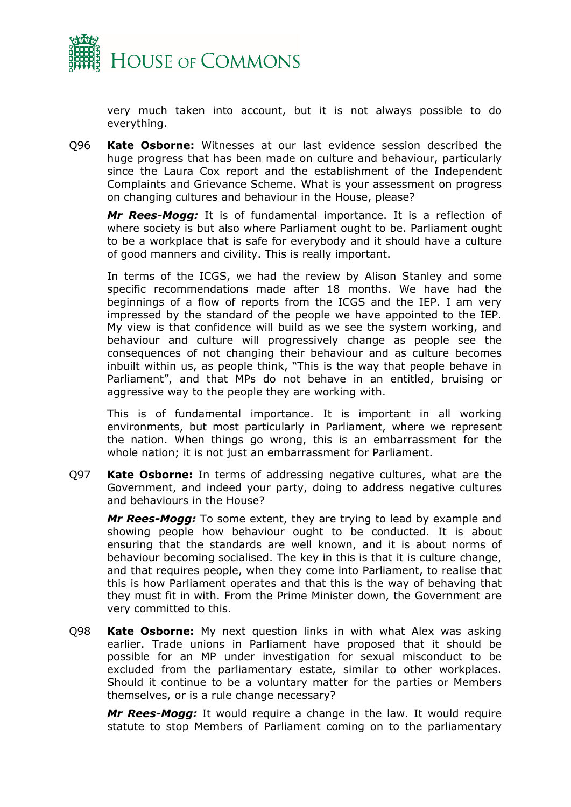

very much taken into account, but it is not always possible to do everything.

Q96 **Kate Osborne:** Witnesses at our last evidence session described the huge progress that has been made on culture and behaviour, particularly since the Laura Cox report and the establishment of the Independent Complaints and Grievance Scheme. What is your assessment on progress on changing cultures and behaviour in the House, please?

*Mr Rees-Mogg:* It is of fundamental importance. It is a reflection of where society is but also where Parliament ought to be. Parliament ought to be a workplace that is safe for everybody and it should have a culture of good manners and civility. This is really important.

In terms of the ICGS, we had the review by Alison Stanley and some specific recommendations made after 18 months. We have had the beginnings of a flow of reports from the ICGS and the IEP. I am very impressed by the standard of the people we have appointed to the IEP. My view is that confidence will build as we see the system working, and behaviour and culture will progressively change as people see the consequences of not changing their behaviour and as culture becomes inbuilt within us, as people think, "This is the way that people behave in Parliament", and that MPs do not behave in an entitled, bruising or aggressive way to the people they are working with.

This is of fundamental importance. It is important in all working environments, but most particularly in Parliament, where we represent the nation. When things go wrong, this is an embarrassment for the whole nation; it is not just an embarrassment for Parliament.

Q97 **Kate Osborne:** In terms of addressing negative cultures, what are the Government, and indeed your party, doing to address negative cultures and behaviours in the House?

*Mr Rees-Mogg:* To some extent, they are trying to lead by example and showing people how behaviour ought to be conducted. It is about ensuring that the standards are well known, and it is about norms of behaviour becoming socialised. The key in this is that it is culture change, and that requires people, when they come into Parliament, to realise that this is how Parliament operates and that this is the way of behaving that they must fit in with. From the Prime Minister down, the Government are very committed to this.

Q98 **Kate Osborne:** My next question links in with what Alex was asking earlier. Trade unions in Parliament have proposed that it should be possible for an MP under investigation for sexual misconduct to be excluded from the parliamentary estate, similar to other workplaces. Should it continue to be a voluntary matter for the parties or Members themselves, or is a rule change necessary?

*Mr Rees-Mogg:* It would require a change in the law. It would require statute to stop Members of Parliament coming on to the parliamentary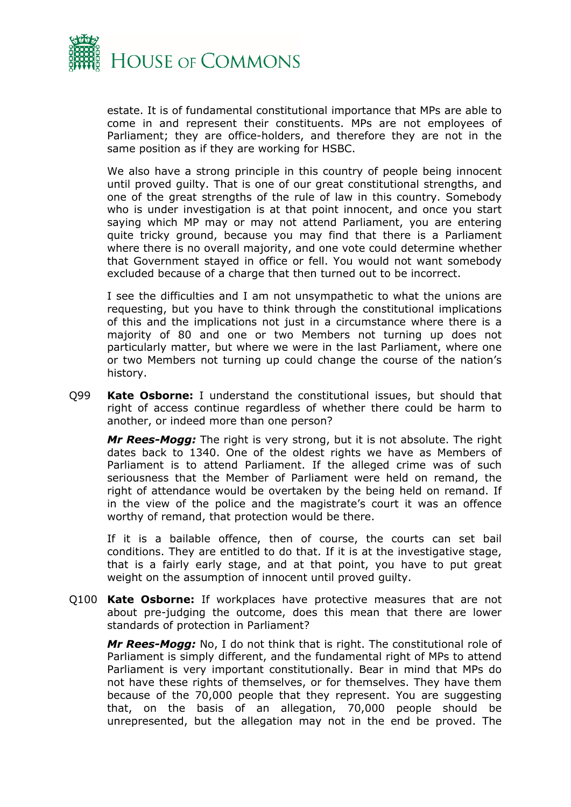

estate. It is of fundamental constitutional importance that MPs are able to come in and represent their constituents. MPs are not employees of Parliament; they are office-holders, and therefore they are not in the same position as if they are working for HSBC.

We also have a strong principle in this country of people being innocent until proved guilty. That is one of our great constitutional strengths, and one of the great strengths of the rule of law in this country. Somebody who is under investigation is at that point innocent, and once you start saying which MP may or may not attend Parliament, you are entering quite tricky ground, because you may find that there is a Parliament where there is no overall majority, and one vote could determine whether that Government stayed in office or fell. You would not want somebody excluded because of a charge that then turned out to be incorrect.

I see the difficulties and I am not unsympathetic to what the unions are requesting, but you have to think through the constitutional implications of this and the implications not just in a circumstance where there is a majority of 80 and one or two Members not turning up does not particularly matter, but where we were in the last Parliament, where one or two Members not turning up could change the course of the nation's history.

Q99 **Kate Osborne:** I understand the constitutional issues, but should that right of access continue regardless of whether there could be harm to another, or indeed more than one person?

*Mr Rees-Mogg:* The right is very strong, but it is not absolute. The right dates back to 1340. One of the oldest rights we have as Members of Parliament is to attend Parliament. If the alleged crime was of such seriousness that the Member of Parliament were held on remand, the right of attendance would be overtaken by the being held on remand. If in the view of the police and the magistrate's court it was an offence worthy of remand, that protection would be there.

If it is a bailable offence, then of course, the courts can set bail conditions. They are entitled to do that. If it is at the investigative stage, that is a fairly early stage, and at that point, you have to put great weight on the assumption of innocent until proved guilty.

Q100 **Kate Osborne:** If workplaces have protective measures that are not about pre-judging the outcome, does this mean that there are lower standards of protection in Parliament?

*Mr Rees-Mogg:* No, I do not think that is right. The constitutional role of Parliament is simply different, and the fundamental right of MPs to attend Parliament is very important constitutionally. Bear in mind that MPs do not have these rights of themselves, or for themselves. They have them because of the 70,000 people that they represent. You are suggesting that, on the basis of an allegation, 70,000 people should be unrepresented, but the allegation may not in the end be proved. The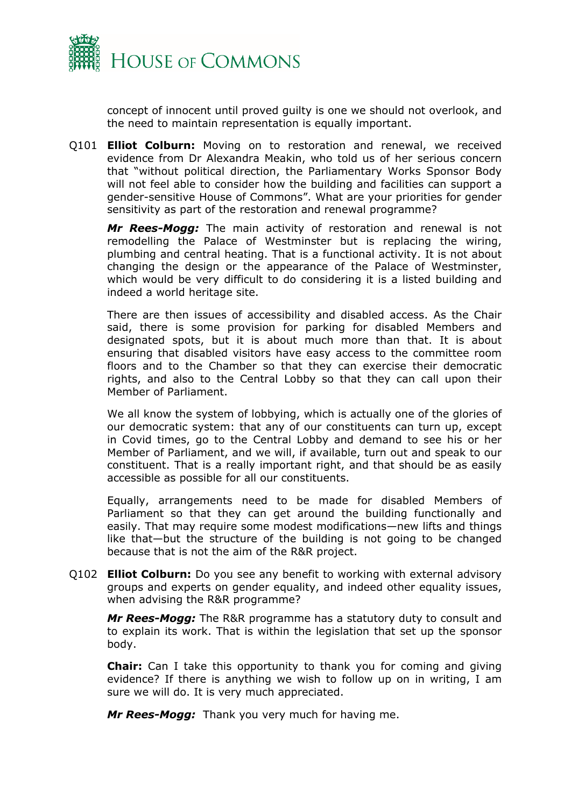

concept of innocent until proved guilty is one we should not overlook, and the need to maintain representation is equally important.

Q101 **Elliot Colburn:** Moving on to restoration and renewal, we received evidence from Dr Alexandra Meakin, who told us of her serious concern that "without political direction, the Parliamentary Works Sponsor Body will not feel able to consider how the building and facilities can support a gender-sensitive House of Commons". What are your priorities for gender sensitivity as part of the restoration and renewal programme?

*Mr Rees-Mogg:* The main activity of restoration and renewal is not remodelling the Palace of Westminster but is replacing the wiring, plumbing and central heating. That is a functional activity. It is not about changing the design or the appearance of the Palace of Westminster, which would be very difficult to do considering it is a listed building and indeed a world heritage site.

There are then issues of accessibility and disabled access. As the Chair said, there is some provision for parking for disabled Members and designated spots, but it is about much more than that. It is about ensuring that disabled visitors have easy access to the committee room floors and to the Chamber so that they can exercise their democratic rights, and also to the Central Lobby so that they can call upon their Member of Parliament.

We all know the system of lobbying, which is actually one of the glories of our democratic system: that any of our constituents can turn up, except in Covid times, go to the Central Lobby and demand to see his or her Member of Parliament, and we will, if available, turn out and speak to our constituent. That is a really important right, and that should be as easily accessible as possible for all our constituents.

Equally, arrangements need to be made for disabled Members of Parliament so that they can get around the building functionally and easily. That may require some modest modifications—new lifts and things like that—but the structure of the building is not going to be changed because that is not the aim of the R&R project.

Q102 **Elliot Colburn:** Do you see any benefit to working with external advisory groups and experts on gender equality, and indeed other equality issues, when advising the R&R programme?

*Mr Rees-Mogg:* The R&R programme has a statutory duty to consult and to explain its work. That is within the legislation that set up the sponsor body.

**Chair:** Can I take this opportunity to thank you for coming and giving evidence? If there is anything we wish to follow up on in writing, I am sure we will do. It is very much appreciated.

*Mr Rees-Mogg:* Thank you very much for having me.